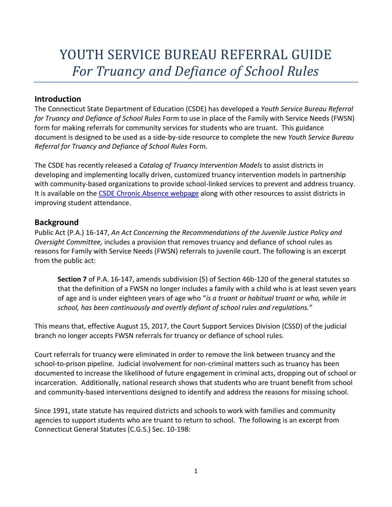# YOUTH SERVICE BUREAU REFERRAL GUIDE *For Truancy and Defiance of School Rules*

# **Introduction**

The Connecticut State Department of Education (CSDE) has developed a *Youth Service Bureau Referral for Truancy and Defiance of School Rules* Form to use in place of the Family with Service Needs (FWSN) form for making referrals for community services for students who are truant. This guidance document is designed to be used as a side-by-side resource to complete the new *Youth Service Bureau Referral for Truancy and Defiance of School Rules* Form*.* 

The CSDE has recently released a *Catalog of Truancy Intervention Models* to assist districts in developing and implementing locally driven, customized truancy intervention models in partnership with community-based organizations to provide school-linked services to prevent and address truancy. It is available on the [CSDE Chronic Absence webpage](http://portal.ct.gov/SDE/Chronic-Absence/Chronic-Absence) along with other resources to assist districts in improving student attendance.

# **Background**

Public Act (P.A.) 16-147, *An Act Concerning the Recommendations of the Juvenile Justice Policy and Oversight Committee,* includes a provision that removes truancy and defiance of school rules as reasons for Family with Service Needs (FWSN) referrals to juvenile court. The following is an excerpt from the public act:

**Section 7** of P.A. 16-147, amends subdivision (5) of Section 46b-120 of the general statutes so that the definition of a FWSN no longer includes a family with a child who is at least seven years of age and is under eighteen years of age who "*is a truant or habitual truant or who, while in school, has been continuously and overtly defiant of school rules and regulations.*"

This means that, effective August 15, 2017, the Court Support Services Division (CSSD) of the judicial branch no longer accepts FWSN referrals for truancy or defiance of school rules.

Court referrals for truancy were eliminated in order to remove the link between truancy and the school-to-prison pipeline. Judicial involvement for non-criminal matters such as truancy has been documented to increase the likelihood of future engagement in criminal acts, dropping out of school or incarceration. Additionally, national research shows that students who are truant benefit from school and community-based interventions designed to identify and address the reasons for missing school.

Since 1991, state statute has required districts and schools to work with families and community agencies to support students who are truant to return to school. The following is an excerpt from Connecticut General Statutes (C.G.S.) Sec. 10-198: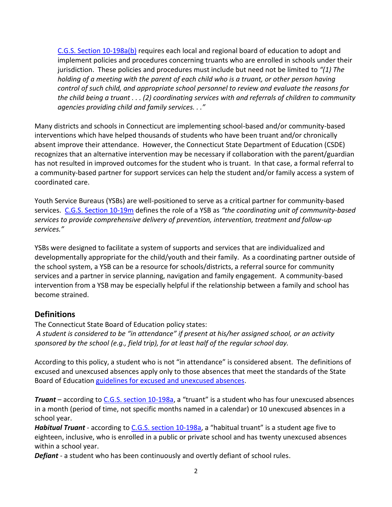[C.G.S. Section 10-198a\(b\)](https://www.cga.ct.gov/2017/pub/chap_168.htm#sec_10-198a) requires each local and regional board of education to adopt and implement policies and procedures concerning truants who are enrolled in schools under their jurisdiction. These policies and procedures must include but need not be limited to *"(1) The holding of a meeting with the parent of each child who is a truant, or other person having control of such child, and appropriate school personnel to review and evaluate the reasons for the child being a truant . . . (2) coordinating services with and referrals of children to community agencies providing child and family services. . ."* 

Many districts and schools in Connecticut are implementing school-based and/or community-based interventions which have helped thousands of students who have been truant and/or chronically absent improve their attendance. However, the Connecticut State Department of Education (CSDE) recognizes that an alternative intervention may be necessary if collaboration with the parent/guardian has not resulted in improved outcomes for the student who is truant. In that case, a formal referral to a community-based partner for support services can help the student and/or family access a system of coordinated care.

Youth Service Bureaus (YSBs) are well-positioned to serve as a critical partner for community-based services. [C.G.S. Section 10-19m](https://www.cga.ct.gov/2017/pub/chap_164.htm) defines the role of a YSB as *"the coordinating unit of community-based services to provide comprehensive delivery of prevention, intervention, treatment and follow-up services."*

YSBs were designed to facilitate a system of supports and services that are individualized and developmentally appropriate for the child/youth and their family. As a coordinating partner outside of the school system, a YSB can be a resource for schools/districts, a referral source for community services and a partner in service planning, navigation and family engagement. A community-based intervention from a YSB may be especially helpful if the relationship between a family and school has become strained.

#### **Definitions**

The Connecticut State Board of Education policy states: *A student is considered to be "in attendance" if present at his/her assigned school, or an activity sponsored by the school (e.g., field trip), for at least half of the regular school day.* 

According to this policy, a student who is not "in attendance" is considered absent. The definitions of excused and unexcused absences apply only to those absences that meet the standards of the State Board of Education guidelines for [excused and unexcused absences.](http://portal.ct.gov/-/media/SDE/Chronic-Absence/guidelines_excused_and_unexcused_absences.pdf?la=en)

*Truant* – according to [C.G.S. section 10-198a](https://www.cga.ct.gov/current/pub/chap_168.htm#sec_10-198a), a "truant" is a student who has four unexcused absences in a month (period of time, not specific months named in a calendar) or 10 unexcused absences in a school year.

*Habitual Truant* - according to [C.G.S. section 10-198a](https://www.cga.ct.gov/current/pub/chap_168.htm#sec_10-198a), a "habitual truant" is a student age five to eighteen, inclusive, who is enrolled in a public or private school and has twenty unexcused absences within a school year.

*Defiant* - a student who has been continuously and overtly defiant of school rules.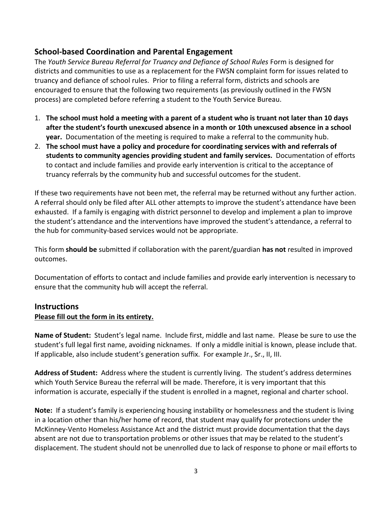# **School-based Coordination and Parental Engagement**

The *Youth Service Bureau Referral for Truancy and Defiance of School Rules* Form is designed for districts and communities to use as a replacement for the FWSN complaint form for issues related to truancy and defiance of school rules. Prior to filing a referral form, districts and schools are encouraged to ensure that the following two requirements (as previously outlined in the FWSN process) are completed before referring a student to the Youth Service Bureau.

- 1. **The school must hold a meeting with a parent of a student who is truant not later than 10 days after the student's fourth unexcused absence in a month or 10th unexcused absence in a school year.** Documentation of the meeting is required to make a referral to the community hub.
- 2. **The school must have a policy and procedure for coordinating services with and referrals of students to community agencies providing student and family services.** Documentation of efforts to contact and include families and provide early intervention is critical to the acceptance of truancy referrals by the community hub and successful outcomes for the student.

If these two requirements have not been met, the referral may be returned without any further action. A referral should only be filed after ALL other attempts to improve the student's attendance have been exhausted. If a family is engaging with district personnel to develop and implement a plan to improve the student's attendance and the interventions have improved the student's attendance, a referral to the hub for community-based services would not be appropriate.

This form **should be** submitted if collaboration with the parent/guardian **has not** resulted in improved outcomes.

Documentation of efforts to contact and include families and provide early intervention is necessary to ensure that the community hub will accept the referral.

#### **Instructions**

#### **Please fill out the form in its entirety.**

**Name of Student:** Student's legal name. Include first, middle and last name. Please be sure to use the student's full legal first name, avoiding nicknames. If only a middle initial is known, please include that. If applicable, also include student's generation suffix. For example Jr., Sr., II, III.

**Address of Student:** Address where the student is currently living. The student's address determines which Youth Service Bureau the referral will be made. Therefore, it is very important that this information is accurate, especially if the student is enrolled in a magnet, regional and charter school.

**Note:** If a student's family is experiencing housing instability or homelessness and the student is living in a location other than his/her home of record, that student may qualify for protections under the McKinney-Vento Homeless Assistance Act and the district must provide documentation that the days absent are not due to transportation problems or other issues that may be related to the student's displacement. The student should not be unenrolled due to lack of response to phone or mail efforts to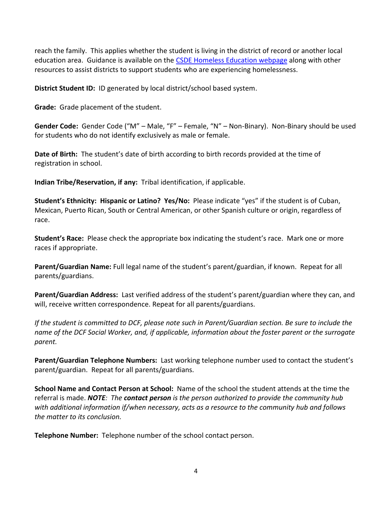reach the family. This applies whether the student is living in the district of record or another local education area. Guidance is available on the [CSDE Homeless Education webpage](http://portal.ct.gov/SDE/Homeless/Homeless-Education) along with other resources to assist districts to support students who are experiencing homelessness.

**District Student ID:** ID generated by local district/school based system.

**Grade:** Grade placement of the student.

**Gender Code:** Gender Code ("M" – Male, "F" – Female, "N" – Non-Binary). Non-Binary should be used for students who do not identify exclusively as male or female.

**Date of Birth:** The student's date of birth according to birth records provided at the time of registration in school.

**Indian Tribe/Reservation, if any:** Tribal identification, if applicable.

**Student's Ethnicity: Hispanic or Latino? Yes/No:** Please indicate "yes" if the student is of Cuban, Mexican, Puerto Rican, South or Central American, or other Spanish culture or origin, regardless of race.

**Student's Race:** Please check the appropriate box indicating the student's race. Mark one or more races if appropriate.

**Parent/Guardian Name:** Full legal name of the student's parent/guardian, if known. Repeat for all parents/guardians.

**Parent/Guardian Address:** Last verified address of the student's parent/guardian where they can, and will, receive written correspondence. Repeat for all parents/guardians.

*If the student is committed to DCF, please note such in Parent/Guardian section. Be sure to include the name of the DCF Social Worker, and, if applicable, information about the foster parent or the surrogate parent.*

**Parent/Guardian Telephone Numbers:** Last working telephone number used to contact the student's parent/guardian. Repeat for all parents/guardians.

**School Name and Contact Person at School:** Name of the school the student attends at the time the referral is made. *NOTE: The contact person is the person authorized to provide the community hub with additional information if/when necessary, acts as a resource to the community hub and follows the matter to its conclusion.*

**Telephone Number:** Telephone number of the school contact person.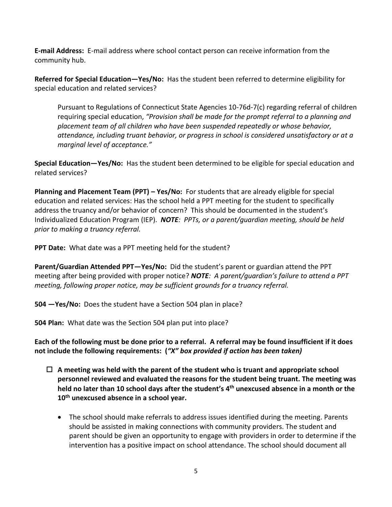**E-mail Address:** E-mail address where school contact person can receive information from the community hub.

**Referred for Special Education—Yes/No:** Has the student been referred to determine eligibility for special education and related services?

Pursuant to Regulations of Connecticut State Agencies 10-76d-7(c) regarding referral of children requiring special education, *"Provision shall be made for the prompt referral to a planning and placement team of all children who have been suspended repeatedly or whose behavior, attendance, including truant behavior, or progress in school is considered unsatisfactory or at a marginal level of acceptance."*

**Special Education—Yes/No:** Has the student been determined to be eligible for special education and related services?

**Planning and Placement Team (PPT) – Yes/No:** For students that are already eligible for special education and related services: Has the school held a PPT meeting for the student to specifically address the truancy and/or behavior of concern? This should be documented in the student's Individualized Education Program (IEP). *NOTE: PPTs, or a parent/guardian meeting, should be held prior to making a truancy referral.* 

**PPT Date:** What date was a PPT meeting held for the student?

**Parent/Guardian Attended PPT—Yes/No:** Did the student's parent or guardian attend the PPT meeting after being provided with proper notice? *NOTE: A parent/guardian's failure to attend a PPT meeting, following proper notice, may be sufficient grounds for a truancy referral.* 

**504 —Yes/No:** Does the student have a Section 504 plan in place?

**504 Plan:** What date was the Section 504 plan put into place?

**Each of the following must be done prior to a referral. A referral may be found insufficient if it does not include the following requirements: (***"X" box provided if action has been taken)*

- **A meeting was held with the parent of the student who is truant and appropriate school personnel reviewed and evaluated the reasons for the student being truant. The meeting was held no later than 10 school days after the student's 4th unexcused absence in a month or the 10th unexcused absence in a school year.**
	- The school should make referrals to address issues identified during the meeting. Parents should be assisted in making connections with community providers. The student and parent should be given an opportunity to engage with providers in order to determine if the intervention has a positive impact on school attendance. The school should document all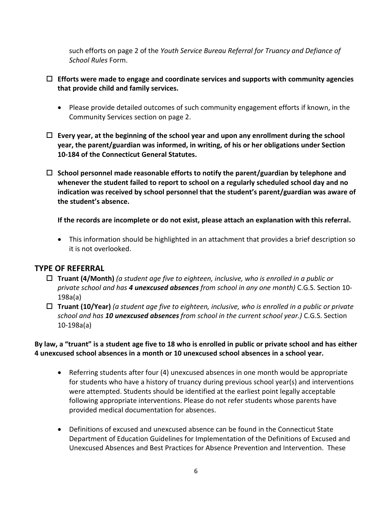such efforts on page 2 of the *Youth Service Bureau Referral for Truancy and Defiance of School Rules* Form.

- **Efforts were made to engage and coordinate services and supports with community agencies that provide child and family services.**
	- Please provide detailed outcomes of such community engagement efforts if known, in the Community Services section on page 2.
- **Every year, at the beginning of the school year and upon any enrollment during the school year, the parent/guardian was informed, in writing, of his or her obligations under Section 10-184 of the Connecticut General Statutes.**
- **School personnel made reasonable efforts to notify the parent/guardian by telephone and whenever the student failed to report to school on a regularly scheduled school day and no indication was received by school personnel that the student's parent/guardian was aware of the student's absence.**

**If the records are incomplete or do not exist, please attach an explanation with this referral.**

 This information should be highlighted in an attachment that provides a brief description so it is not overlooked.

# **TYPE OF REFERRAL**

- **Truant (4/Month)** *(a student age five to eighteen, inclusive, who is enrolled in a public or private school and has 4 unexcused absences from school in any one month)* C.G.S. Section 10- 198a(a)
- **Truant (10/Year)** *(a student age five to eighteen, inclusive, who is enrolled in a public or private school and has 10 unexcused absences from school in the current school year.)* C.G.S. Section 10-198a(a)

**By law, a "truant" is a student age five to 18 who is enrolled in public or private school and has either 4 unexcused school absences in a month or 10 unexcused school absences in a school year.**

- Referring students after four (4) unexcused absences in one month would be appropriate for students who have a history of truancy during previous school year(s) and interventions were attempted. Students should be identified at the earliest point legally acceptable following appropriate interventions. Please do not refer students whose parents have provided medical documentation for absences.
- Definitions of excused and unexcused absence can be found in the Connecticut State Department of Education Guidelines for Implementation of the Definitions of Excused and Unexcused Absences and Best Practices for Absence Prevention and Intervention. These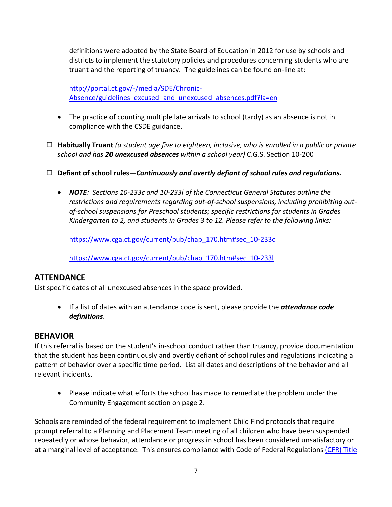definitions were adopted by the State Board of Education in 2012 for use by schools and districts to implement the statutory policies and procedures concerning students who are truant and the reporting of truancy. The guidelines can be found on-line at:

[http://portal.ct.gov/-/media/SDE/Chronic-](http://portal.ct.gov/-/media/SDE/Chronic-Absence/guidelines_excused_and_unexcused_absences.pdf?la=en)[Absence/guidelines\\_excused\\_and\\_unexcused\\_absences.pdf?la=en](http://portal.ct.gov/-/media/SDE/Chronic-Absence/guidelines_excused_and_unexcused_absences.pdf?la=en)

- The practice of counting multiple late arrivals to school (tardy) as an absence is not in compliance with the CSDE guidance.
- **Habitually Truant** *(a student age five to eighteen, inclusive, who is enrolled in a public or private school and has 20 unexcused absences within a school year)* C.G.S. Section 10-200
- **Defiant of school rules—***Continuously and overtly defiant of school rules and regulations.*
	- *NOTE: Sections 10-233c and 10-233l of the Connecticut General Statutes outline the restrictions and requirements regarding out-of-school suspensions, including prohibiting outof-school suspensions for Preschool students; specific restrictions for students in Grades Kindergarten to 2, and students in Grades 3 to 12. Please refer to the following links:*

[https://www.cga.ct.gov/current/pub/chap\\_170.htm#sec\\_10-233c](https://www.cga.ct.gov/current/pub/chap_170.htm#sec_10-233c)

[https://www.cga.ct.gov/current/pub/chap\\_170.htm#sec\\_10-233l](https://www.cga.ct.gov/current/pub/chap_170.htm#sec_10-233l)

# **ATTENDANCE**

List specific dates of all unexcused absences in the space provided.

 If a list of dates with an attendance code is sent, please provide the *attendance code definitions*.

#### **BEHAVIOR**

If this referral is based on the student's in-school conduct rather than truancy, provide documentation that the student has been continuously and overtly defiant of school rules and regulations indicating a pattern of behavior over a specific time period. List all dates and descriptions of the behavior and all relevant incidents.

 Please indicate what efforts the school has made to remediate the problem under the Community Engagement section on page 2.

Schools are reminded of the federal requirement to implement Child Find protocols that require prompt referral to a Planning and Placement Team meeting of all children who have been suspended repeatedly or whose behavior, attendance or progress in school has been considered unsatisfactory or at a marginal level of acceptance. This ensures compliance with Code of Federal Regulations [\(CFR\)](http://www.wrightslaw.com/idea/law/idea.regs.subpartb.pdf) Title